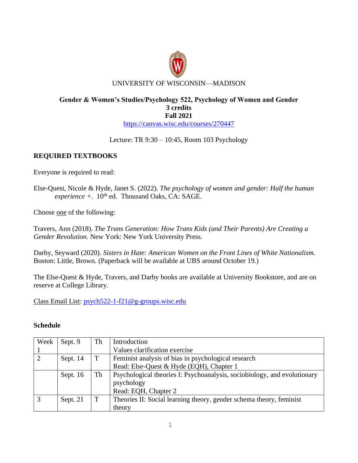

## **Gender & Women's Studies/Psychology 522, Psychology of Women and Gender 3 credits Fall 2021** <https://canvas.wisc.edu/courses/270447>

Lecture: TR 9:30 – 10:45, Room 103 Psychology

# **REQUIRED TEXTBOOKS**

Everyone is required to read:

Else-Quest, Nicole & Hyde, Janet S. (2022). *The psychology of women and gender: Half the human*   $$ 

Choose one of the following:

Travers, Ann (2018). *The Trans Generation: How Trans Kids (and Their Parents) Are Creating a Gender Revolution.* New York: New York University Press.

Darby, Seyward (2020). *Sisters in Hate: American Women on the Front Lines of White Nationalism.* Boston: Little, Brown. (Paperback will be available at UBS around October 19.)

The Else-Quest & Hyde, Travers, and Darby books are available at University Bookstore, and are on reserve at College Library.

Class Email List: [psych522-1-f21@g-groups.wisc.edu](mailto:psych522-1-f21@g-groups.wisc.edu)

## **Schedule**

| Week | Sept. 9  | Th | Introduction                                                             |
|------|----------|----|--------------------------------------------------------------------------|
|      |          |    | Values clarification exercise                                            |
|      | Sept. 14 | T  | Feminist analysis of bias in psychological research                      |
|      |          |    | Read: Else-Quest & Hyde (EQH), Chapter 1                                 |
|      | Sept. 16 | Th | Psychological theories I: Psychoanalysis, sociobiology, and evolutionary |
|      |          |    | psychology                                                               |
|      |          |    | Read: EQH, Chapter 2                                                     |
|      | Sept. 21 | T  | Theories II: Social learning theory, gender schema theory, feminist      |
|      |          |    | theory                                                                   |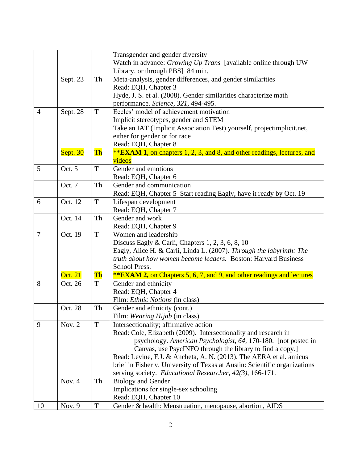|                |                |             | Transgender and gender diversity                                               |
|----------------|----------------|-------------|--------------------------------------------------------------------------------|
|                |                |             | Watch in advance: Growing Up Trans [available online through UW                |
|                |                |             | Library, or through PBS] 84 min.                                               |
|                | Sept. 23       | Th          | Meta-analysis, gender differences, and gender similarities                     |
|                |                |             | Read: EQH, Chapter 3                                                           |
|                |                |             | Hyde, J. S. et al. (2008). Gender similarities characterize math               |
|                |                |             | performance. Science, 321, 494-495.                                            |
| $\overline{4}$ | Sept. 28       | T           | Eccles' model of achievement motivation                                        |
|                |                |             | Implicit stereotypes, gender and STEM                                          |
|                |                |             | Take an IAT (Implicit Association Test) yourself, projectimplicit.net,         |
|                |                |             | either for gender or for race                                                  |
|                |                |             | Read: EQH, Chapter 8                                                           |
|                | Sept. 30       | Th          | <b>**EXAM 1, on chapters 1, 2, 3, and 8, and other readings, lectures, and</b> |
|                |                |             | videos                                                                         |
| 5              | Oct. 5         | T           | Gender and emotions                                                            |
|                |                |             | Read: EQH, Chapter 6                                                           |
|                | Oct. 7         | Th          | Gender and communication                                                       |
|                |                |             | Read: EQH, Chapter 5 Start reading Eagly, have it ready by Oct. 19             |
| 6              | Oct. 12        | T           | Lifespan development                                                           |
|                |                |             | Read: EQH, Chapter 7                                                           |
|                | Oct. 14        | Th          | Gender and work                                                                |
|                |                |             | Read: EQH, Chapter 9                                                           |
| $\overline{7}$ | Oct. 19        | T           | Women and leadership                                                           |
|                |                |             | Discuss Eagly & Carli, Chapters 1, 2, 3, 6, 8, 10                              |
|                |                |             | Eagly, Alice H. & Carli, Linda L. (2007). Through the labyrinth: The           |
|                |                |             | truth about how women become leaders. Boston: Harvard Business                 |
|                |                |             | School Press.                                                                  |
|                | <b>Oct. 21</b> | Th          | <b>**EXAM 2, on Chapters 5, 6, 7, and 9, and other readings and lectures</b>   |
| 8              | Oct. 26        | T           | Gender and ethnicity                                                           |
|                |                |             | Read: EQH, Chapter 4                                                           |
|                |                |             | Film: <i>Ethnic Notions</i> (in class)                                         |
|                | Oct. 28        | Th          | Gender and ethnicity (cont.)                                                   |
|                |                |             | Film: <i>Wearing Hijab</i> (in class)                                          |
| 9              | Nov. $2$       | T           | Intersectionality; affirmative action                                          |
|                |                |             | Read: Cole, Elizabeth (2009). Intersectionality and research in                |
|                |                |             | psychology. American Psychologist, 64, 170-180. [not posted in                 |
|                |                |             | Canvas, use PsycINFO through the library to find a copy.]                      |
|                |                |             | Read: Levine, F.J. & Ancheta, A. N. (2013). The AERA et al. amicus             |
|                |                |             | brief in Fisher v. University of Texas at Austin: Scientific organizations     |
|                |                |             | serving society. Educational Researcher, 42(3), 166-171.                       |
|                | Nov. 4         | Th          | <b>Biology and Gender</b>                                                      |
|                |                |             | Implications for single-sex schooling                                          |
|                |                |             | Read: EQH, Chapter 10                                                          |
| 10             | Nov. 9         | $\mathbf T$ | Gender & health: Menstruation, menopause, abortion, AIDS                       |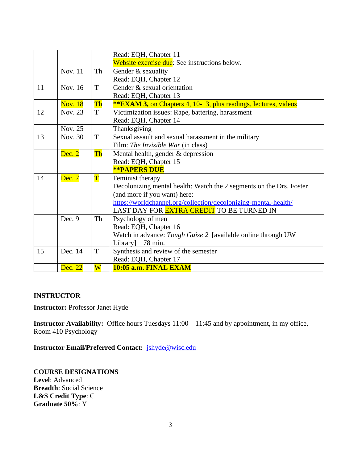|    |                |                        | Read: EQH, Chapter 11                                                  |
|----|----------------|------------------------|------------------------------------------------------------------------|
|    |                |                        | Website exercise due: See instructions below.                          |
|    | Nov. 11        | Th                     | Gender & sexuality                                                     |
|    |                |                        | Read: EQH, Chapter 12                                                  |
| 11 | Nov. 16        | T                      | Gender & sexual orientation                                            |
|    |                |                        | Read: EQH, Chapter 13                                                  |
|    | <b>Nov. 18</b> | Th                     | <b>**EXAM 3, on Chapters 4, 10-13, plus readings, lectures, videos</b> |
| 12 | Nov. 23        | T                      | Victimization issues: Rape, battering, harassment                      |
|    |                |                        | Read: EQH, Chapter 14                                                  |
|    | Nov. 25        |                        | Thanksgiving                                                           |
| 13 | Nov. 30        | T                      | Sexual assault and sexual harassment in the military                   |
|    |                |                        | Film: <i>The Invisible War</i> (in class)                              |
|    | Dec. 2         | $\overline{\text{Th}}$ | Mental health, gender $&$ depression                                   |
|    |                |                        | Read: EQH, Chapter 15                                                  |
|    |                |                        | <b>**PAPERS DUE</b>                                                    |
| 14 | Dec. 7         | $\mathbf T$            | Feminist therapy                                                       |
|    |                |                        | Decolonizing mental health: Watch the 2 segments on the Drs. Foster    |
|    |                |                        | (and more if you want) here:                                           |
|    |                |                        | https://worldchannel.org/collection/decolonizing-mental-health/        |
|    |                |                        | LAST DAY FOR <mark>EXTRA CREDIT</mark> TO BE TURNED IN                 |
|    | Dec. 9         | Th                     | Psychology of men                                                      |
|    |                |                        | Read: EQH, Chapter 16                                                  |
|    |                |                        | Watch in advance: Tough Guise 2 [available online through UW           |
|    |                |                        | Library]<br>78 min.                                                    |
| 15 | Dec. 14        | $\mathbf T$            | Synthesis and review of the semester                                   |
|    |                |                        | Read: EQH, Chapter 17                                                  |
|    | Dec. 22        | $\overline{\text{W}}$  | 10:05 a.m. FINAL EXAM                                                  |

## **INSTRUCTOR**

**Instructor:** Professor Janet Hyde

**Instructor Availability:** Office hours Tuesdays 11:00 – 11:45 and by appointment, in my office, Room 410 Psychology

**Instructor Email/Preferred Contact:** [jshyde@wisc.edu](mailto:jshyde@wisc.edu)

**COURSE DESIGNATIONS Level**: Advanced **Breadth**: Social Science **L&S Credit Type**: C **Graduate 50%**: Y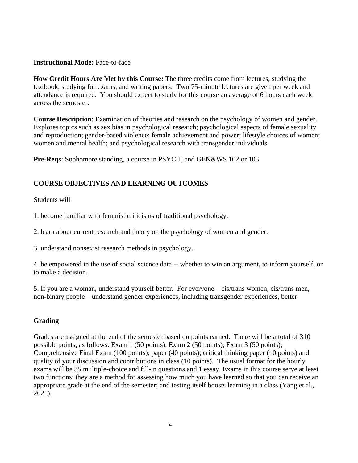#### **Instructional Mode:** Face-to-face

**How Credit Hours Are Met by this Course:** The three credits come from lectures, studying the textbook, studying for exams, and writing papers. Two 75-minute lectures are given per week and attendance is required. You should expect to study for this course an average of 6 hours each week across the semester.

**Course Description**: Examination of theories and research on the psychology of women and gender. Explores topics such as sex bias in psychological research; psychological aspects of female sexuality and reproduction; gender-based violence; female achievement and power; lifestyle choices of women; women and mental health; and psychological research with transgender individuals.

**Pre-Reqs**: Sophomore standing, a course in PSYCH, and GEN&WS 102 or 103

# **COURSE OBJECTIVES AND LEARNING OUTCOMES**

#### Students will

1. become familiar with feminist criticisms of traditional psychology.

2. learn about current research and theory on the psychology of women and gender.

3. understand nonsexist research methods in psychology.

4. be empowered in the use of social science data -- whether to win an argument, to inform yourself, or to make a decision.

5. If you are a woman, understand yourself better. For everyone – cis/trans women, cis/trans men, non-binary people – understand gender experiences, including transgender experiences, better.

## **Grading**

Grades are assigned at the end of the semester based on points earned. There will be a total of 310 possible points, as follows: Exam 1 (50 points), Exam 2 (50 points); Exam 3 (50 points); Comprehensive Final Exam (100 points); paper (40 points); critical thinking paper (10 points) and quality of your discussion and contributions in class (10 points). The usual format for the hourly exams will be 35 multiple-choice and fill-in questions and 1 essay. Exams in this course serve at least two functions: they are a method for assessing how much you have learned so that you can receive an appropriate grade at the end of the semester; and testing itself boosts learning in a class (Yang et al., 2021).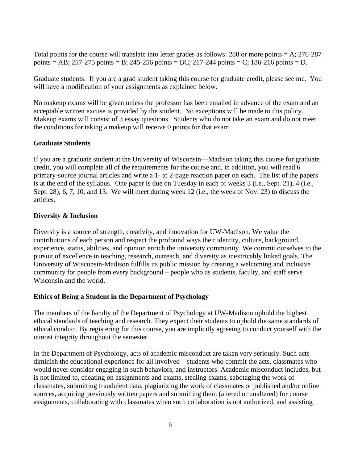Total points for the course will translate into letter grades as follows: 288 or more points  $= A$ ; 276-287 points = AB; 257-275 points = B; 245-256 points = BC; 217-244 points = C; 186-216 points = D.

Graduate students: If you are a grad student taking this course for graduate credit, please see me. You will have a modification of your assignments as explained below.

No makeup exams will be given unless the professor has been emailed in advance of the exam and an acceptable written excuse is provided by the student. No exceptions will be made to this policy. Makeup exams will consist of 3 essay questions. Students who do not take an exam and do not meet the conditions for taking a makeup will receive 0 points for that exam.

#### **Graduate Students**

If you are a graduate student at the University of Wisconsin—Madison taking this course for graduate credit, you will complete all of the requirements for the course and, in addition, you will read 6 primary-source journal articles and write a 1- to 2-page reaction paper on each. The list of the papers is at the end of the syllabus. One paper is due on Tuesday in each of weeks 3 (i.e., Sept. 21), 4 (i.e., Sept. 28), 6, 7, 10, and 13. We will meet during week 12 (i.e., the week of Nov. 23) to discuss the articles.

## **Diversity & Inclusion**

Diversity is a source of strength, creativity, and innovation for UW-Madison. We value the contributions of each person and respect the profound ways their identity, culture, background, experience, status, abilities, and opinion enrich the university community. We commit ourselves to the pursuit of excellence in teaching, research, outreach, and diversity as inextricably linked goals. The University of Wisconsin-Madison fulfills its public mission by creating a welcoming and inclusive community for people from every background – people who as students, faculty, and staff serve Wisconsin and the world.

#### **Ethics of Being a Student in the Department of Psychology**

The members of the faculty of the Department of Psychology at UW-Madison uphold the highest ethical standards of teaching and research. They expect their students to uphold the same standards of ethical conduct. By registering for this course, you are implicitly agreeing to conduct yourself with the utmost integrity throughout the semester.

In the Department of Psychology, acts of academic misconduct are taken very seriously. Such acts diminish the educational experience for all involved – students who commit the acts, classmates who would never consider engaging in such behaviors, and instructors. Academic misconduct includes, but is not limited to, cheating on assignments and exams, stealing exams, sabotaging the work of classmates, submitting fraudulent data, plagiarizing the work of classmates or published and/or online sources, acquiring previously written papers and submitting them (altered or unaltered) for course assignments, collaborating with classmates when such collaboration is not authorized, and assisting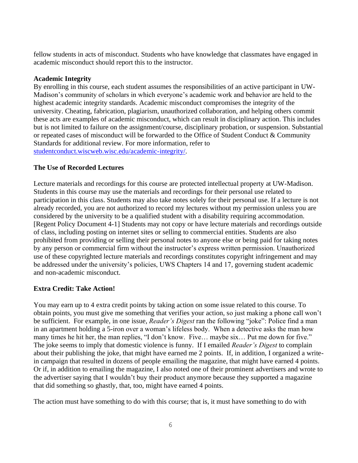fellow students in acts of misconduct. Students who have knowledge that classmates have engaged in academic misconduct should report this to the instructor.

## **Academic Integrity**

By enrolling in this course, each student assumes the responsibilities of an active participant in UW-Madison's community of scholars in which everyone's academic work and behavior are held to the highest academic integrity standards. Academic misconduct compromises the integrity of the university. Cheating, fabrication, plagiarism, unauthorized collaboration, and helping others commit these acts are examples of academic misconduct, which can result in disciplinary action. This includes but is not limited to failure on the assignment/course, disciplinary probation, or suspension. Substantial or repeated cases of misconduct will be forwarded to the Office of Student Conduct & Community Standards for additional review. For more information, refer to [studentconduct.wiscweb.wisc.edu/academic-integrity/.](file:///C:/Users/scramer/AppData/Local/Microsoft/Windows/INetCache/Content.Outlook/1CCV1TO9/studentconduct.wiscweb.wisc.edu/academic-integrity/)

## **The Use of Recorded Lectures**

Lecture materials and recordings for this course are protected intellectual property at UW-Madison. Students in this course may use the materials and recordings for their personal use related to participation in this class. Students may also take notes solely for their personal use. If a lecture is not already recorded, you are not authorized to record my lectures without my permission unless you are considered by the university to be a qualified student with a disability requiring accommodation. [Regent Policy Document 4-1] Students may not copy or have lecture materials and recordings outside of class, including posting on internet sites or selling to commercial entities. Students are also prohibited from providing or selling their personal notes to anyone else or being paid for taking notes by any person or commercial firm without the instructor's express written permission. Unauthorized use of these copyrighted lecture materials and recordings constitutes copyright infringement and may be addressed under the university's policies, UWS Chapters 14 and 17, governing student academic and non-academic misconduct.

## **Extra Credit: Take Action!**

You may earn up to 4 extra credit points by taking action on some issue related to this course. To obtain points, you must give me something that verifies your action, so just making a phone call won't be sufficient. For example, in one issue, *Reader's Digest* ran the following "joke": Police find a man in an apartment holding a 5-iron over a woman's lifeless body. When a detective asks the man how many times he hit her, the man replies, "I don't know. Five... maybe six... Put me down for five." The joke seems to imply that domestic violence is funny. If I emailed *Reader's Digest* to complain about their publishing the joke, that might have earned me 2 points. If, in addition, I organized a writein campaign that resulted in dozens of people emailing the magazine, that might have earned 4 points. Or if, in addition to emailing the magazine, I also noted one of their prominent advertisers and wrote to the advertiser saying that I wouldn't buy their product anymore because they supported a magazine that did something so ghastly, that, too, might have earned 4 points.

The action must have something to do with this course; that is, it must have something to do with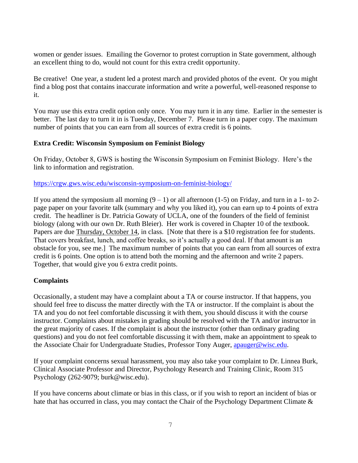women or gender issues. Emailing the Governor to protest corruption in State government, although an excellent thing to do, would not count for this extra credit opportunity.

Be creative! One year, a student led a protest march and provided photos of the event. Or you might find a blog post that contains inaccurate information and write a powerful, well-reasoned response to it.

You may use this extra credit option only once. You may turn it in any time. Earlier in the semester is better. The last day to turn it in is Tuesday, December 7. Please turn in a paper copy. The maximum number of points that you can earn from all sources of extra credit is 6 points.

## **Extra Credit: Wisconsin Symposium on Feminist Biology**

On Friday, October 8, GWS is hosting the Wisconsin Symposium on Feminist Biology. Here's the link to information and registration.

#### <https://crgw.gws.wisc.edu/wisconsin-symposium-on-feminist-biology/>

If you attend the symposium all morning  $(9 - 1)$  or all afternoon (1-5) on Friday, and turn in a 1- to 2page paper on your favorite talk (summary and why you liked it), you can earn up to 4 points of extra credit. The headliner is Dr. Patricia Gowaty of UCLA, one of the founders of the field of feminist biology (along with our own Dr. Ruth Bleier). Her work is covered in Chapter 10 of the textbook. Papers are due Thursday, October 14, in class. [Note that there is a \$10 registration fee for students. That covers breakfast, lunch, and coffee breaks, so it's actually a good deal. If that amount is an obstacle for you, see me.] The maximum number of points that you can earn from all sources of extra credit is 6 points. One option is to attend both the morning and the afternoon and write 2 papers. Together, that would give you 6 extra credit points.

#### **Complaints**

Occasionally, a student may have a complaint about a TA or course instructor. If that happens, you should feel free to discuss the matter directly with the TA or instructor. If the complaint is about the TA and you do not feel comfortable discussing it with them, you should discuss it with the course instructor. Complaints about mistakes in grading should be resolved with the TA and/or instructor in the great majority of cases. If the complaint is about the instructor (other than ordinary grading questions) and you do not feel comfortable discussing it with them, make an appointment to speak to the Associate Chair for Undergraduate Studies, Professor Tony Auger, [apauger@wisc.edu.](mailto:apauger@wisc.edu)

If your complaint concerns sexual harassment, you may also take your complaint to Dr. Linnea Burk, Clinical Associate Professor and Director, Psychology Research and Training Clinic, Room 315 Psychology (262-9079; burk@wisc.edu).

If you have concerns about climate or bias in this class, or if you wish to report an incident of bias or hate that has occurred in class, you may contact the Chair of the Psychology Department Climate &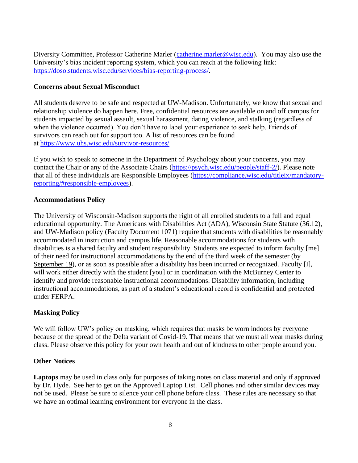Diversity Committee, Professor Catherine Marler [\(catherine.marler@wisc.edu\)](mailto:catherine.marler@wisc.edu). You may also use the University's bias incident reporting system, which you can reach at the following link: [https://doso.students.wisc.edu/services/bias-reporting-process/.](https://doso.students.wisc.edu/services/bias-reporting-process/)

## **Concerns about Sexual Misconduct**

All students deserve to be safe and respected at UW-Madison. Unfortunately, we know that sexual and relationship violence do happen here. Free, confidential resources are available on and off campus for students impacted by sexual assault, sexual harassment, dating violence, and stalking (regardless of when the violence occurred). You don't have to label your experience to seek help. Friends of survivors can reach out for support too. A list of resources can be found at <https://www.uhs.wisc.edu/survivor-resources/>

If you wish to speak to someone in the Department of Psychology about your concerns, you may contact the Chair or any of the Associate Chairs [\(https://psych.wisc.edu/people/staff-2/\)](https://psych.wisc.edu/people/staff-2/). Please note that all of these individuals are Responsible Employees [\(https://compliance.wisc.edu/titleix/mandatory](https://compliance.wisc.edu/titleix/mandatory-reporting/#responsible-employees)[reporting/#responsible-employees\)](https://compliance.wisc.edu/titleix/mandatory-reporting/#responsible-employees).

## **Accommodations Policy**

The University of Wisconsin-Madison supports the right of all enrolled students to a full and equal educational opportunity. The Americans with Disabilities Act (ADA), Wisconsin State Statute (36.12), and UW-Madison policy (Faculty Document 1071) require that students with disabilities be reasonably accommodated in instruction and campus life. Reasonable accommodations for students with disabilities is a shared faculty and student responsibility. Students are expected to inform faculty [me] of their need for instructional accommodations by the end of the third week of the semester (by September 19), or as soon as possible after a disability has been incurred or recognized. Faculty [I], will work either directly with the student [you] or in coordination with the McBurney Center to identify and provide reasonable instructional accommodations. Disability information, including instructional accommodations, as part of a student's educational record is confidential and protected under FERPA.

## **Masking Policy**

We will follow UW's policy on masking, which requires that masks be worn indoors by everyone because of the spread of the Delta variant of Covid-19. That means that we must all wear masks during class. Please observe this policy for your own health and out of kindness to other people around you.

#### **Other Notices**

**Laptops** may be used in class only for purposes of taking notes on class material and only if approved by Dr. Hyde. See her to get on the Approved Laptop List. Cell phones and other similar devices may not be used. Please be sure to silence your cell phone before class. These rules are necessary so that we have an optimal learning environment for everyone in the class.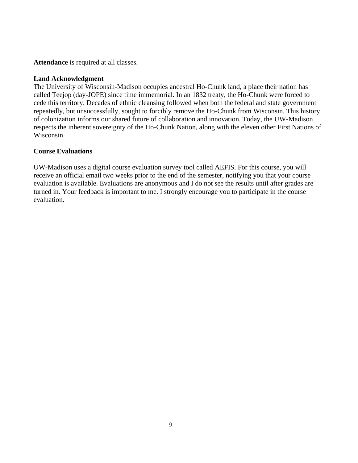**Attendance** is required at all classes.

## **Land Acknowledgment**

The University of Wisconsin-Madison occupies ancestral Ho-Chunk land, a place their nation has called Teejop (day-JOPE) since time immemorial. In an 1832 treaty, the Ho-Chunk were forced to cede this territory. Decades of ethnic cleansing followed when both the federal and state government repeatedly, but unsuccessfully, sought to forcibly remove the Ho-Chunk from Wisconsin. This history of colonization informs our shared future of collaboration and innovation. Today, the UW-Madison respects the inherent sovereignty of the Ho-Chunk Nation, along with the eleven other First Nations of Wisconsin.

## **Course Evaluations**

UW-Madison uses a digital course evaluation survey tool called AEFIS. For this course, you will receive an official email two weeks prior to the end of the semester, notifying you that your course evaluation is available. Evaluations are anonymous and I do not see the results until after grades are turned in. Your feedback is important to me. I strongly encourage you to participate in the course evaluation.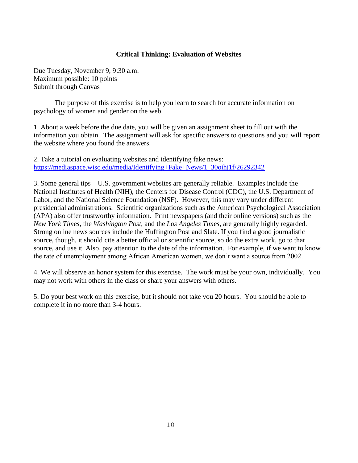## **Critical Thinking: Evaluation of Websites**

Due Tuesday, November 9, 9:30 a.m. Maximum possible: 10 points Submit through Canvas

The purpose of this exercise is to help you learn to search for accurate information on psychology of women and gender on the web.

1. About a week before the due date, you will be given an assignment sheet to fill out with the information you obtain. The assignment will ask for specific answers to questions and you will report the website where you found the answers.

2. Take a tutorial on evaluating websites and identifying fake news: [https://mediaspace.wisc.edu/media/Identifying+Fake+News/1\\_30oihj1f/26292342](https://mediaspace.wisc.edu/media/Identifying+Fake+News/1_30oihj1f/26292342)

3. Some general tips – U.S. government websites are generally reliable. Examples include the National Institutes of Health (NIH), the Centers for Disease Control (CDC), the U.S. Department of Labor, and the National Science Foundation (NSF). However, this may vary under different presidential administrations. Scientific organizations such as the American Psychological Association (APA) also offer trustworthy information. Print newspapers (and their online versions) such as the *New York Times*, the *Washington Post*, and the *Los Angeles Times*, are generally highly regarded. Strong online news sources include the Huffington Post and Slate. If you find a good journalistic source, though, it should cite a better official or scientific source, so do the extra work, go to that source, and use it. Also, pay attention to the date of the information. For example, if we want to know the rate of unemployment among African American women, we don't want a source from 2002.

4. We will observe an honor system for this exercise. The work must be your own, individually. You may not work with others in the class or share your answers with others.

5. Do your best work on this exercise, but it should not take you 20 hours. You should be able to complete it in no more than 3-4 hours.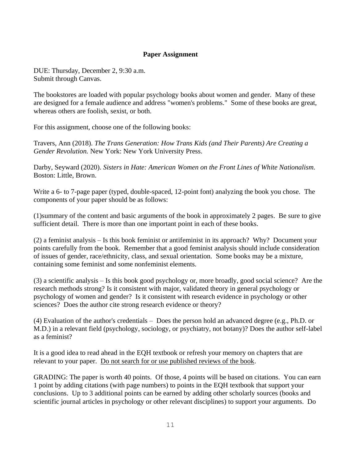## **Paper Assignment**

DUE: Thursday, December 2, 9:30 a.m. Submit through Canvas.

The bookstores are loaded with popular psychology books about women and gender. Many of these are designed for a female audience and address "women's problems." Some of these books are great, whereas others are foolish, sexist, or both.

For this assignment, choose one of the following books:

Travers, Ann (2018). *The Trans Generation: How Trans Kids (and Their Parents) Are Creating a Gender Revolution.* New York: New York University Press.

Darby, Seyward (2020). *Sisters in Hate: American Women on the Front Lines of White Nationalism.* Boston: Little, Brown.

Write a 6- to 7-page paper (typed, double-spaced, 12-point font) analyzing the book you chose. The components of your paper should be as follows:

(1)summary of the content and basic arguments of the book in approximately 2 pages. Be sure to give sufficient detail. There is more than one important point in each of these books.

(2) a feminist analysis – Is this book feminist or antifeminist in its approach? Why? Document your points carefully from the book. Remember that a good feminist analysis should include consideration of issues of gender, race/ethnicity, class, and sexual orientation. Some books may be a mixture, containing some feminist and some nonfeminist elements.

(3) a scientific analysis – Is this book good psychology or, more broadly, good social science? Are the research methods strong? Is it consistent with major, validated theory in general psychology or psychology of women and gender? Is it consistent with research evidence in psychology or other sciences? Does the author cite strong research evidence or theory?

(4) Evaluation of the author's credentials – Does the person hold an advanced degree (e.g., Ph.D. or M.D.) in a relevant field (psychology, sociology, or psychiatry, not botany)? Does the author self-label as a feminist?

It is a good idea to read ahead in the EQH textbook or refresh your memory on chapters that are relevant to your paper. Do not search for or use published reviews of the book.

GRADING: The paper is worth 40 points. Of those, 4 points will be based on citations. You can earn 1 point by adding citations (with page numbers) to points in the EQH textbook that support your conclusions. Up to 3 additional points can be earned by adding other scholarly sources (books and scientific journal articles in psychology or other relevant disciplines) to support your arguments. Do